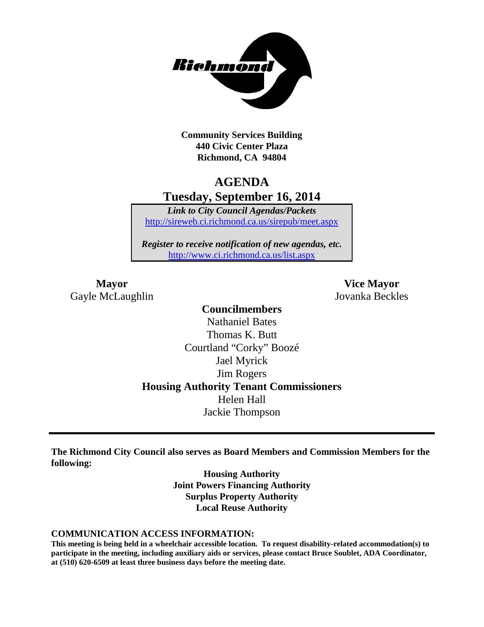

**Community Services Building 440 Civic Center Plaza Richmond, CA 94804**

# **AGENDA Tuesday, September 16, 2014**

*Link to City Council Agendas/Packets* <http://sireweb.ci.richmond.ca.us/sirepub/meet.aspx>

*Register to receive notification of new agendas, etc.* <http://www.ci.richmond.ca.us/list.aspx>

Gayle McLaughlin Jovanka Beckles

**Mayor Vice Mayor**

**Councilmembers** Nathaniel Bates Thomas K. Butt Courtland "Corky" Boozé Jael Myrick Jim Rogers **Housing Authority Tenant Commissioners** Helen Hall Jackie Thompson

**The Richmond City Council also serves as Board Members and Commission Members for the following:**

> **Housing Authority Joint Powers Financing Authority Surplus Property Authority Local Reuse Authority**

#### **COMMUNICATION ACCESS INFORMATION:**

**This meeting is being held in a wheelchair accessible location. To request disability-related accommodation(s) to participate in the meeting, including auxiliary aids or services, please contact Bruce Soublet, ADA Coordinator, at (510) 620-6509 at least three business days before the meeting date.**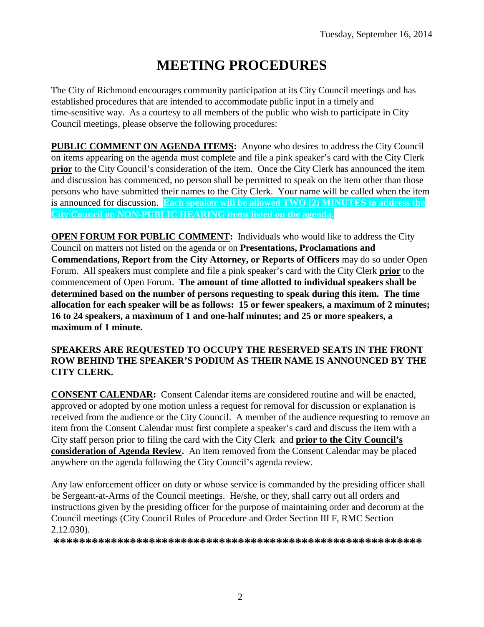# **MEETING PROCEDURES**

The City of Richmond encourages community participation at its City Council meetings and has established procedures that are intended to accommodate public input in a timely and time-sensitive way. As a courtesy to all members of the public who wish to participate in City Council meetings, please observe the following procedures:

**PUBLIC COMMENT ON AGENDA ITEMS:** Anyone who desires to address the City Council on items appearing on the agenda must complete and file a pink speaker's card with the City Clerk **prior** to the City Council's consideration of the item. Once the City Clerk has announced the item and discussion has commenced, no person shall be permitted to speak on the item other than those persons who have submitted their names to the City Clerk. Your name will be called when the item is announced for discussion. **Each speaker will be allowed TWO (2) MINUTES to address the City Council on NON-PUBLIC HEARING items listed on the agenda.**

**OPEN FORUM FOR PUBLIC COMMENT:** Individuals who would like to address the City Council on matters not listed on the agenda or on **Presentations, Proclamations and Commendations, Report from the City Attorney, or Reports of Officers** may do so under Open Forum. All speakers must complete and file a pink speaker's card with the City Clerk **prior** to the commencement of Open Forum. **The amount of time allotted to individual speakers shall be determined based on the number of persons requesting to speak during this item. The time allocation for each speaker will be as follows: 15 or fewer speakers, a maximum of 2 minutes; 16 to 24 speakers, a maximum of 1 and one-half minutes; and 25 or more speakers, a maximum of 1 minute.**

#### **SPEAKERS ARE REQUESTED TO OCCUPY THE RESERVED SEATS IN THE FRONT ROW BEHIND THE SPEAKER'S PODIUM AS THEIR NAME IS ANNOUNCED BY THE CITY CLERK.**

**CONSENT CALENDAR:** Consent Calendar items are considered routine and will be enacted, approved or adopted by one motion unless a request for removal for discussion or explanation is received from the audience or the City Council. A member of the audience requesting to remove an item from the Consent Calendar must first complete a speaker's card and discuss the item with a City staff person prior to filing the card with the City Clerk and **prior to the City Council's consideration of Agenda Review.** An item removed from the Consent Calendar may be placed anywhere on the agenda following the City Council's agenda review.

Any law enforcement officer on duty or whose service is commanded by the presiding officer shall be Sergeant-at-Arms of the Council meetings. He/she, or they, shall carry out all orders and instructions given by the presiding officer for the purpose of maintaining order and decorum at the Council meetings (City Council Rules of Procedure and Order Section III F, RMC Section 2.12.030).

**\*\*\*\*\*\*\*\*\*\*\*\*\*\*\*\*\*\*\*\*\*\*\*\*\*\*\*\*\*\*\*\*\*\*\*\*\*\*\*\*\*\*\*\*\*\*\*\*\*\*\*\*\*\*\*\*\*\***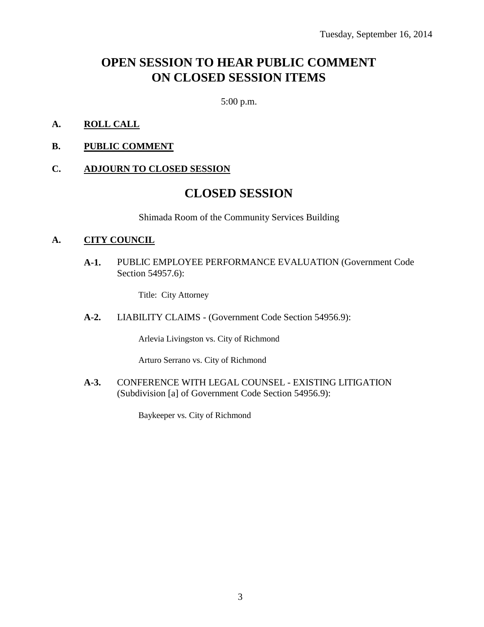# **OPEN SESSION TO HEAR PUBLIC COMMENT ON CLOSED SESSION ITEMS**

5:00 p.m.

- **A. ROLL CALL**
- **B. PUBLIC COMMENT**

#### **C. ADJOURN TO CLOSED SESSION**

# **CLOSED SESSION**

Shimada Room of the Community Services Building

#### **A. CITY COUNCIL**

**A-1.** PUBLIC EMPLOYEE PERFORMANCE EVALUATION (Government Code Section 54957.6):

Title: City Attorney

**A-2.** LIABILITY CLAIMS - (Government Code Section 54956.9):

Arlevia Livingston vs. City of Richmond

Arturo Serrano vs. City of Richmond

**A-3.** CONFERENCE WITH LEGAL COUNSEL - EXISTING LITIGATION (Subdivision [a] of Government Code Section 54956.9):

Baykeeper vs. City of Richmond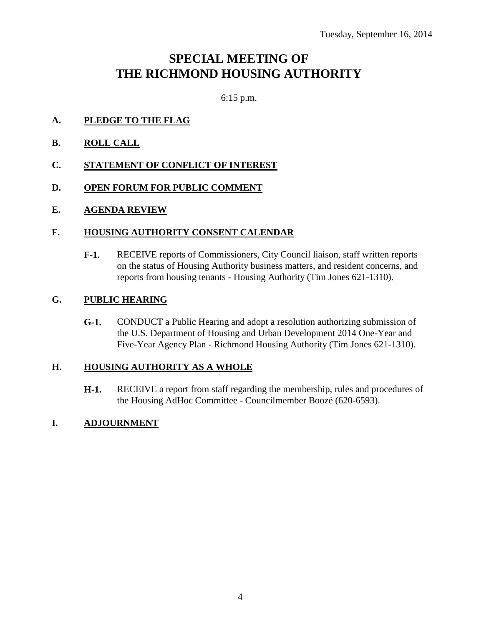# **SPECIAL MEETING OF THE RICHMOND HOUSING AUTHORITY**

6:15 p.m.

- **A. PLEDGE TO THE FLAG**
- **B. ROLL CALL**
- **C. STATEMENT OF CONFLICT OF INTEREST**
- **D. OPEN FORUM FOR PUBLIC COMMENT**
- **E. AGENDA REVIEW**

#### **F. HOUSING AUTHORITY CONSENT CALENDAR**

**F-1.** RECEIVE reports of Commissioners, City Council liaison, staff written reports on the status of Housing Authority business matters, and resident concerns, and reports from housing tenants - Housing Authority (Tim Jones 621-1310).

#### **G. PUBLIC HEARING**

**G-1.** CONDUCT a Public Hearing and adopt a resolution authorizing submission of the U.S. Department of Housing and Urban Development 2014 One-Year and Five-Year Agency Plan - Richmond Housing Authority (Tim Jones 621-1310).

#### **H. HOUSING AUTHORITY AS A WHOLE**

**H-1.** RECEIVE a report from staff regarding the membership, rules and procedures of the Housing AdHoc Committee - Councilmember Boozé (620-6593).

### **I. ADJOURNMENT**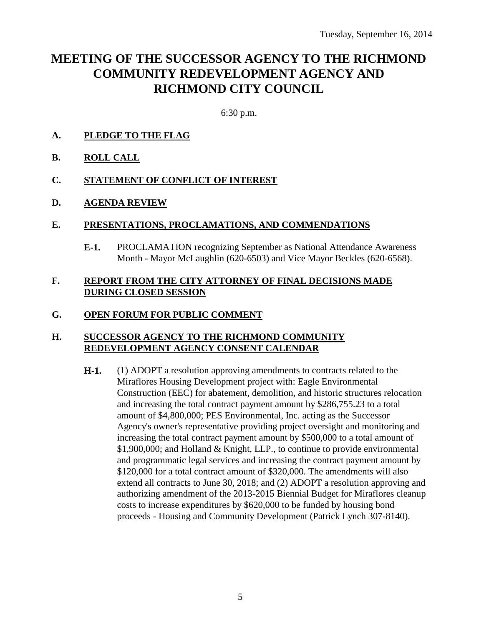# **MEETING OF THE SUCCESSOR AGENCY TO THE RICHMOND COMMUNITY REDEVELOPMENT AGENCY AND RICHMOND CITY COUNCIL**

6:30 p.m.

- **A. PLEDGE TO THE FLAG**
- **B. ROLL CALL**
- **C. STATEMENT OF CONFLICT OF INTEREST**
- **D. AGENDA REVIEW**

#### **E. PRESENTATIONS, PROCLAMATIONS, AND COMMENDATIONS**

**E-1.** PROCLAMATION recognizing September as National Attendance Awareness Month - Mayor McLaughlin (620-6503) and Vice Mayor Beckles (620-6568).

#### **F. REPORT FROM THE CITY ATTORNEY OF FINAL DECISIONS MADE DURING CLOSED SESSION**

### **G. OPEN FORUM FOR PUBLIC COMMENT**

#### **H. SUCCESSOR AGENCY TO THE RICHMOND COMMUNITY REDEVELOPMENT AGENCY CONSENT CALENDAR**

**H-1.** (1) ADOPT a resolution approving amendments to contracts related to the Miraflores Housing Development project with: Eagle Environmental Construction (EEC) for abatement, demolition, and historic structures relocation and increasing the total contract payment amount by \$286,755.23 to a total amount of \$4,800,000; PES Environmental, Inc. acting as the Successor Agency's owner's representative providing project oversight and monitoring and increasing the total contract payment amount by \$500,000 to a total amount of \$1,900,000; and Holland & Knight, LLP., to continue to provide environmental and programmatic legal services and increasing the contract payment amount by \$120,000 for a total contract amount of \$320,000. The amendments will also extend all contracts to June 30, 2018; and (2) ADOPT a resolution approving and authorizing amendment of the 2013-2015 Biennial Budget for Miraflores cleanup costs to increase expenditures by \$620,000 to be funded by housing bond proceeds - Housing and Community Development (Patrick Lynch 307-8140).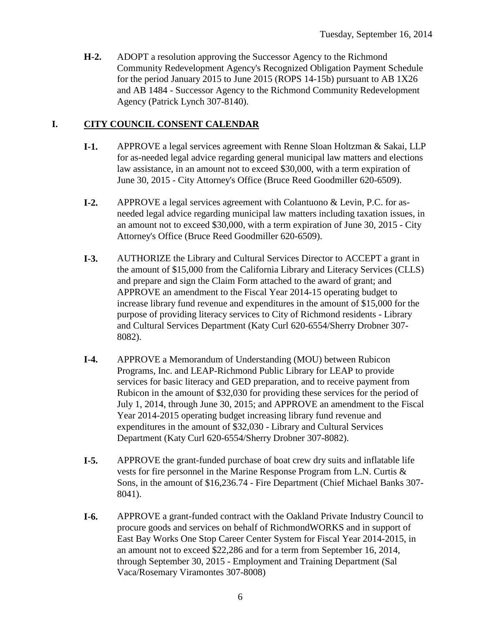**H-2.** ADOPT a resolution approving the Successor Agency to the Richmond Community Redevelopment Agency's Recognized Obligation Payment Schedule for the period January 2015 to June 2015 (ROPS 14-15b) pursuant to AB 1X26 and AB 1484 - Successor Agency to the Richmond Community Redevelopment Agency (Patrick Lynch 307-8140).

### **I. CITY COUNCIL CONSENT CALENDAR**

- **I-1.** APPROVE a legal services agreement with Renne Sloan Holtzman & Sakai, LLP for as-needed legal advice regarding general municipal law matters and elections law assistance, in an amount not to exceed \$30,000, with a term expiration of June 30, 2015 - City Attorney's Office (Bruce Reed Goodmiller 620-6509).
- **I-2.** APPROVE a legal services agreement with Colantuono & Levin, P.C. for asneeded legal advice regarding municipal law matters including taxation issues, in an amount not to exceed \$30,000, with a term expiration of June 30, 2015 - City Attorney's Office (Bruce Reed Goodmiller 620-6509).
- **I-3.** AUTHORIZE the Library and Cultural Services Director to ACCEPT a grant in the amount of \$15,000 from the California Library and Literacy Services (CLLS) and prepare and sign the Claim Form attached to the award of grant; and APPROVE an amendment to the Fiscal Year 2014-15 operating budget to increase library fund revenue and expenditures in the amount of \$15,000 for the purpose of providing literacy services to City of Richmond residents - Library and Cultural Services Department (Katy Curl 620-6554/Sherry Drobner 307- 8082).
- **I-4.** APPROVE a Memorandum of Understanding (MOU) between Rubicon Programs, Inc. and LEAP-Richmond Public Library for LEAP to provide services for basic literacy and GED preparation, and to receive payment from Rubicon in the amount of \$32,030 for providing these services for the period of July 1, 2014, through June 30, 2015; and APPROVE an amendment to the Fiscal Year 2014-2015 operating budget increasing library fund revenue and expenditures in the amount of \$32,030 - Library and Cultural Services Department (Katy Curl 620-6554/Sherry Drobner 307-8082).
- **I-5.** APPROVE the grant-funded purchase of boat crew dry suits and inflatable life vests for fire personnel in the Marine Response Program from L.N. Curtis & Sons, in the amount of \$16,236.74 - Fire Department (Chief Michael Banks 307- 8041).
- **I-6.** APPROVE a grant-funded contract with the Oakland Private Industry Council to procure goods and services on behalf of RichmondWORKS and in support of East Bay Works One Stop Career Center System for Fiscal Year 2014-2015, in an amount not to exceed \$22,286 and for a term from September 16, 2014, through September 30, 2015 - Employment and Training Department (Sal Vaca/Rosemary Viramontes 307-8008)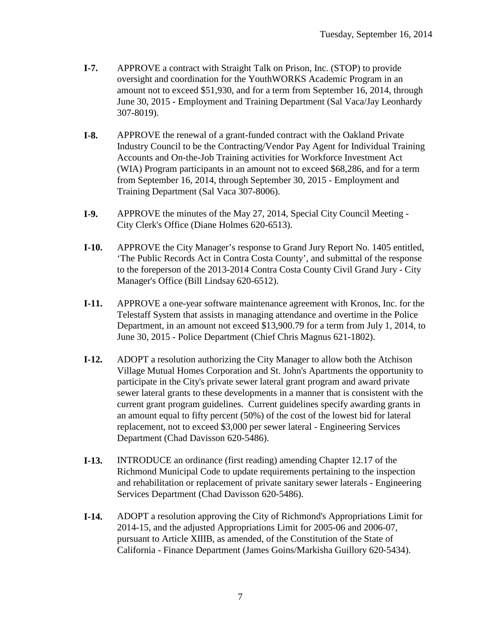- **I-7.** APPROVE a contract with Straight Talk on Prison, Inc. (STOP) to provide oversight and coordination for the YouthWORKS Academic Program in an amount not to exceed \$51,930, and for a term from September 16, 2014, through June 30, 2015 - Employment and Training Department (Sal Vaca/Jay Leonhardy 307-8019).
- **I-8.** APPROVE the renewal of a grant-funded contract with the Oakland Private Industry Council to be the Contracting/Vendor Pay Agent for Individual Training Accounts and On-the-Job Training activities for Workforce Investment Act (WIA) Program participants in an amount not to exceed \$68,286, and for a term from September 16, 2014, through September 30, 2015 - Employment and Training Department (Sal Vaca 307-8006).
- **I-9.** APPROVE the minutes of the May 27, 2014, Special City Council Meeting City Clerk's Office (Diane Holmes 620-6513).
- **I-10.** APPROVE the City Manager's response to Grand Jury Report No. 1405 entitled, 'The Public Records Act in Contra Costa County', and submittal of the response to the foreperson of the 2013-2014 Contra Costa County Civil Grand Jury - City Manager's Office (Bill Lindsay 620-6512).
- **I-11.** APPROVE a one-year software maintenance agreement with Kronos, Inc. for the Telestaff System that assists in managing attendance and overtime in the Police Department, in an amount not exceed \$13,900.79 for a term from July 1, 2014, to June 30, 2015 - Police Department (Chief Chris Magnus 621-1802).
- **I-12.** ADOPT a resolution authorizing the City Manager to allow both the Atchison Village Mutual Homes Corporation and St. John's Apartments the opportunity to participate in the City's private sewer lateral grant program and award private sewer lateral grants to these developments in a manner that is consistent with the current grant program guidelines. Current guidelines specify awarding grants in an amount equal to fifty percent (50%) of the cost of the lowest bid for lateral replacement, not to exceed \$3,000 per sewer lateral - Engineering Services Department (Chad Davisson 620-5486).
- **I-13.** INTRODUCE an ordinance (first reading) amending Chapter 12.17 of the Richmond Municipal Code to update requirements pertaining to the inspection and rehabilitation or replacement of private sanitary sewer laterals - Engineering Services Department (Chad Davisson 620-5486).
- **I-14.** ADOPT a resolution approving the City of Richmond's Appropriations Limit for 2014-15, and the adjusted Appropriations Limit for 2005-06 and 2006-07, pursuant to Article XIIIB, as amended, of the Constitution of the State of California - Finance Department (James Goins/Markisha Guillory 620-5434).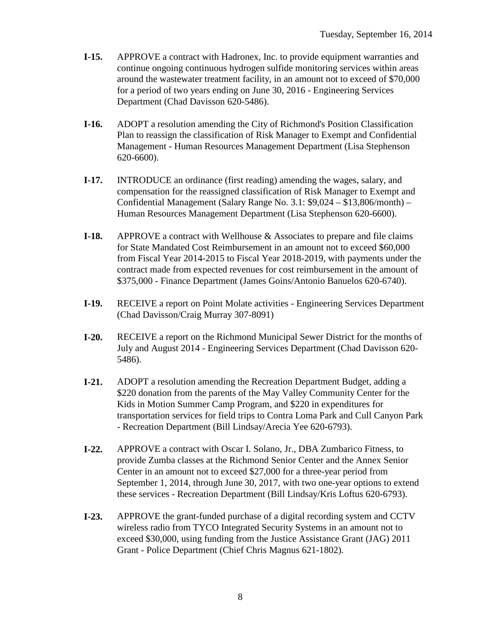- **I-15.** APPROVE a contract with Hadronex, Inc. to provide equipment warranties and continue ongoing continuous hydrogen sulfide monitoring services within areas around the wastewater treatment facility, in an amount not to exceed of \$70,000 for a period of two years ending on June 30, 2016 - Engineering Services Department (Chad Davisson 620-5486).
- **I-16.** ADOPT a resolution amending the City of Richmond's Position Classification Plan to reassign the classification of Risk Manager to Exempt and Confidential Management - Human Resources Management Department (Lisa Stephenson 620-6600).
- **I-17.** INTRODUCE an ordinance (first reading) amending the wages, salary, and compensation for the reassigned classification of Risk Manager to Exempt and Confidential Management (Salary Range No. 3.1: \$9,024 – \$13,806/month) – Human Resources Management Department (Lisa Stephenson 620-6600).
- **I-18.** APPROVE a contract with Wellhouse & Associates to prepare and file claims for State Mandated Cost Reimbursement in an amount not to exceed \$60,000 from Fiscal Year 2014-2015 to Fiscal Year 2018-2019, with payments under the contract made from expected revenues for cost reimbursement in the amount of \$375,000 - Finance Department (James Goins/Antonio Banuelos 620-6740).
- **I-19.** RECEIVE a report on Point Molate activities Engineering Services Department (Chad Davisson/Craig Murray 307-8091)
- **I-20.** RECEIVE a report on the Richmond Municipal Sewer District for the months of July and August 2014 - Engineering Services Department (Chad Davisson 620- 5486).
- **I-21.** ADOPT a resolution amending the Recreation Department Budget, adding a \$220 donation from the parents of the May Valley Community Center for the Kids in Motion Summer Camp Program, and \$220 in expenditures for transportation services for field trips to Contra Loma Park and Cull Canyon Park - Recreation Department (Bill Lindsay/Arecia Yee 620-6793).
- **I-22.** APPROVE a contract with Oscar I. Solano, Jr., DBA Zumbarico Fitness, to provide Zumba classes at the Richmond Senior Center and the Annex Senior Center in an amount not to exceed \$27,000 for a three-year period from September 1, 2014, through June 30, 2017, with two one-year options to extend these services - Recreation Department (Bill Lindsay/Kris Loftus 620-6793).
- **I-23.** APPROVE the grant-funded purchase of a digital recording system and CCTV wireless radio from TYCO Integrated Security Systems in an amount not to exceed \$30,000, using funding from the Justice Assistance Grant (JAG) 2011 Grant - Police Department (Chief Chris Magnus 621-1802).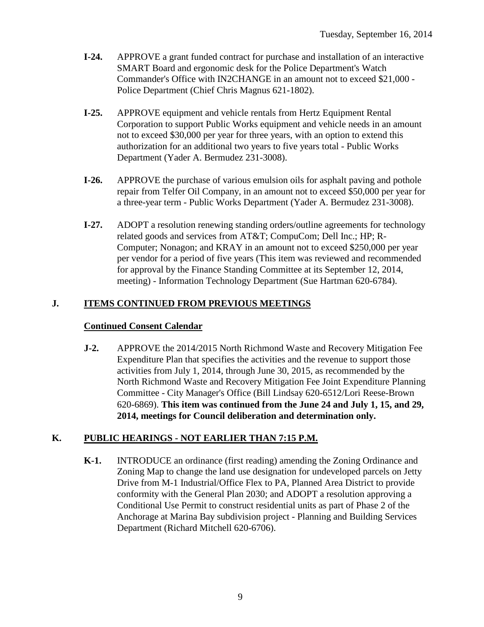- **I-24.** APPROVE a grant funded contract for purchase and installation of an interactive SMART Board and ergonomic desk for the Police Department's Watch Commander's Office with IN2CHANGE in an amount not to exceed \$21,000 - Police Department (Chief Chris Magnus 621-1802).
- **I-25.** APPROVE equipment and vehicle rentals from Hertz Equipment Rental Corporation to support Public Works equipment and vehicle needs in an amount not to exceed \$30,000 per year for three years, with an option to extend this authorization for an additional two years to five years total - Public Works Department (Yader A. Bermudez 231-3008).
- **I-26.** APPROVE the purchase of various emulsion oils for asphalt paving and pothole repair from Telfer Oil Company, in an amount not to exceed \$50,000 per year for a three-year term - Public Works Department (Yader A. Bermudez 231-3008).
- **I-27.** ADOPT a resolution renewing standing orders/outline agreements for technology related goods and services from AT&T; CompuCom; Dell Inc.; HP; R-Computer; Nonagon; and KRAY in an amount not to exceed \$250,000 per year per vendor for a period of five years (This item was reviewed and recommended for approval by the Finance Standing Committee at its September 12, 2014, meeting) - Information Technology Department (Sue Hartman 620-6784).

## **J. ITEMS CONTINUED FROM PREVIOUS MEETINGS**

### **Continued Consent Calendar**

**J-2.** APPROVE the 2014/2015 North Richmond Waste and Recovery Mitigation Fee Expenditure Plan that specifies the activities and the revenue to support those activities from July 1, 2014, through June 30, 2015, as recommended by the North Richmond Waste and Recovery Mitigation Fee Joint Expenditure Planning Committee - City Manager's Office (Bill Lindsay 620-6512/Lori Reese-Brown 620-6869). **This item was continued from the June 24 and July 1, 15, and 29, 2014, meetings for Council deliberation and determination only.**

# **K. PUBLIC HEARINGS - NOT EARLIER THAN 7:15 P.M.**

**K-1.** INTRODUCE an ordinance (first reading) amending the Zoning Ordinance and Zoning Map to change the land use designation for undeveloped parcels on Jetty Drive from M-1 Industrial/Office Flex to PA, Planned Area District to provide conformity with the General Plan 2030; and ADOPT a resolution approving a Conditional Use Permit to construct residential units as part of Phase 2 of the Anchorage at Marina Bay subdivision project - Planning and Building Services Department (Richard Mitchell 620-6706).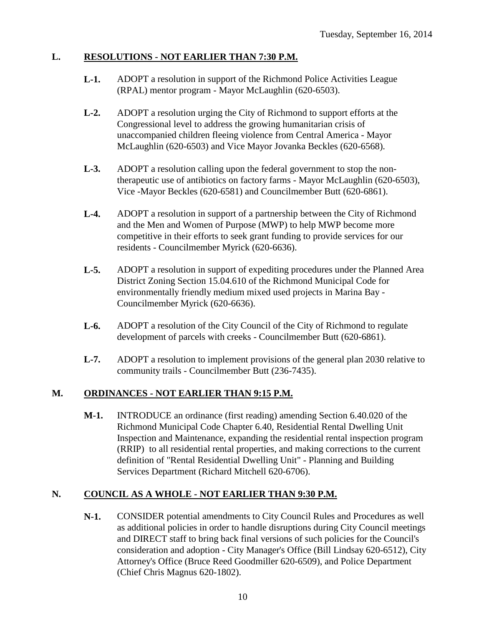### **L. RESOLUTIONS - NOT EARLIER THAN 7:30 P.M.**

- **L-1.** ADOPT a resolution in support of the Richmond Police Activities League (RPAL) mentor program - Mayor McLaughlin (620-6503).
- **L-2.** ADOPT a resolution urging the City of Richmond to support efforts at the Congressional level to address the growing humanitarian crisis of unaccompanied children fleeing violence from Central America - Mayor McLaughlin (620-6503) and Vice Mayor Jovanka Beckles (620-6568).
- **L-3.** ADOPT a resolution calling upon the federal government to stop the nontherapeutic use of antibiotics on factory farms - Mayor McLaughlin (620-6503), Vice -Mayor Beckles (620-6581) and Councilmember Butt (620-6861).
- **L-4.** ADOPT a resolution in support of a partnership between the City of Richmond and the Men and Women of Purpose (MWP) to help MWP become more competitive in their efforts to seek grant funding to provide services for our residents - Councilmember Myrick (620-6636).
- **L-5.** ADOPT a resolution in support of expediting procedures under the Planned Area District Zoning Section 15.04.610 of the Richmond Municipal Code for environmentally friendly medium mixed used projects in Marina Bay - Councilmember Myrick (620-6636).
- **L-6.** ADOPT a resolution of the City Council of the City of Richmond to regulate development of parcels with creeks - Councilmember Butt (620-6861).
- **L-7.** ADOPT a resolution to implement provisions of the general plan 2030 relative to community trails - Councilmember Butt (236-7435).

#### **M. ORDINANCES - NOT EARLIER THAN 9:15 P.M.**

**M-1.** INTRODUCE an ordinance (first reading) amending Section 6.40.020 of the Richmond Municipal Code Chapter 6.40, Residential Rental Dwelling Unit Inspection and Maintenance, expanding the residential rental inspection program (RRIP) to all residential rental properties, and making corrections to the current definition of "Rental Residential Dwelling Unit" - Planning and Building Services Department (Richard Mitchell 620-6706).

#### **N. COUNCIL AS A WHOLE - NOT EARLIER THAN 9:30 P.M.**

**N-1.** CONSIDER potential amendments to City Council Rules and Procedures as well as additional policies in order to handle disruptions during City Council meetings and DIRECT staff to bring back final versions of such policies for the Council's consideration and adoption - City Manager's Office (Bill Lindsay 620-6512), City Attorney's Office (Bruce Reed Goodmiller 620-6509), and Police Department (Chief Chris Magnus 620-1802).